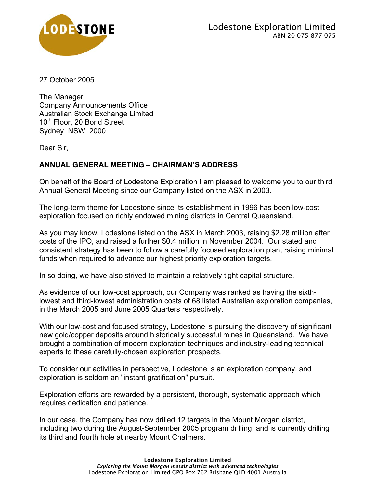

27 October 2005

The Manager Company Announcements Office Australian Stock Exchange Limited 10<sup>th</sup> Floor, 20 Bond Street Sydney NSW 2000

Dear Sir,

## **ANNUAL GENERAL MEETING – CHAIRMAN'S ADDRESS**

On behalf of the Board of Lodestone Exploration I am pleased to welcome you to our third Annual General Meeting since our Company listed on the ASX in 2003.

The long-term theme for Lodestone since its establishment in 1996 has been low-cost exploration focused on richly endowed mining districts in Central Queensland.

As you may know, Lodestone listed on the ASX in March 2003, raising \$2.28 million after costs of the IPO, and raised a further \$0.4 million in November 2004. Our stated and consistent strategy has been to follow a carefully focused exploration plan, raising minimal funds when required to advance our highest priority exploration targets.

In so doing, we have also strived to maintain a relatively tight capital structure.

As evidence of our low-cost approach, our Company was ranked as having the sixthlowest and third-lowest administration costs of 68 listed Australian exploration companies, in the March 2005 and June 2005 Quarters respectively.

With our low-cost and focused strategy, Lodestone is pursuing the discovery of significant new gold/copper deposits around historically successful mines in Queensland. We have brought a combination of modern exploration techniques and industry-leading technical experts to these carefully-chosen exploration prospects.

To consider our activities in perspective, Lodestone is an exploration company, and exploration is seldom an "instant gratification" pursuit.

Exploration efforts are rewarded by a persistent, thorough, systematic approach which requires dedication and patience.

In our case, the Company has now drilled 12 targets in the Mount Morgan district, including two during the August-September 2005 program drilling, and is currently drilling its third and fourth hole at nearby Mount Chalmers.